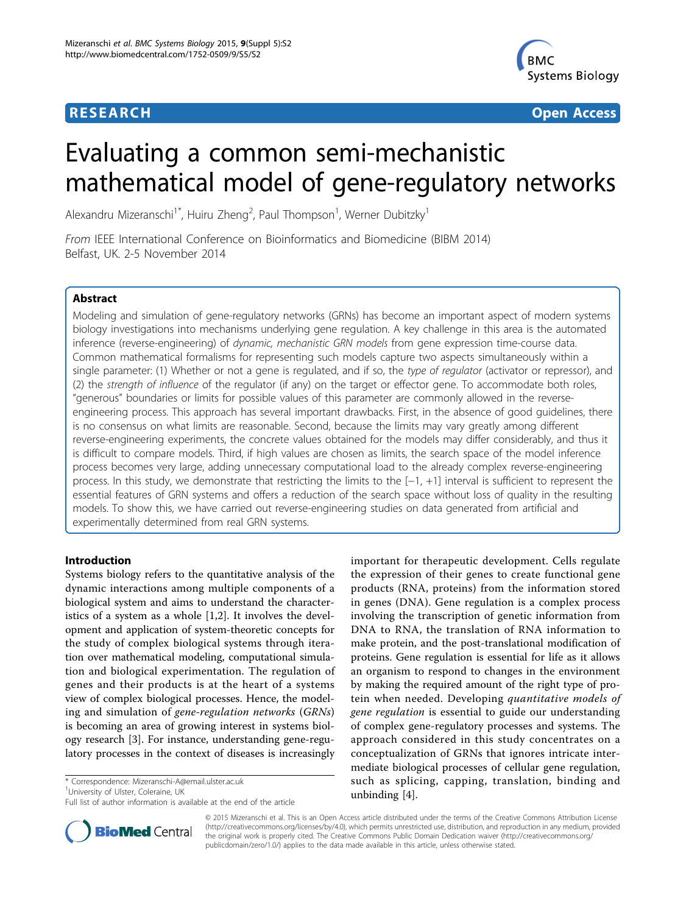## **RESEARCH CONSTRUCTION CONSTRUCTS**



# Evaluating a common semi-mechanistic mathematical model of gene-regulatory networks

Alexandru Mizeranschi<sup>1\*</sup>, Huiru Zheng<sup>2</sup>, Paul Thompson<sup>1</sup>, Werner Dubitzky<sup>1</sup>

From IEEE International Conference on Bioinformatics and Biomedicine (BIBM 2014) Belfast, UK. 2-5 November 2014

## Abstract

Modeling and simulation of gene-regulatory networks (GRNs) has become an important aspect of modern systems biology investigations into mechanisms underlying gene regulation. A key challenge in this area is the automated inference (reverse-engineering) of dynamic, mechanistic GRN models from gene expression time-course data. Common mathematical formalisms for representing such models capture two aspects simultaneously within a single parameter: (1) Whether or not a gene is regulated, and if so, the type of regulator (activator or repressor), and (2) the strength of influence of the regulator (if any) on the target or effector gene. To accommodate both roles, "generous" boundaries or limits for possible values of this parameter are commonly allowed in the reverseengineering process. This approach has several important drawbacks. First, in the absence of good guidelines, there is no consensus on what limits are reasonable. Second, because the limits may vary greatly among different reverse-engineering experiments, the concrete values obtained for the models may differ considerably, and thus it is difficult to compare models. Third, if high values are chosen as limits, the search space of the model inference process becomes very large, adding unnecessary computational load to the already complex reverse-engineering process. In this study, we demonstrate that restricting the limits to the [−1, +1] interval is sufficient to represent the essential features of GRN systems and offers a reduction of the search space without loss of quality in the resulting models. To show this, we have carried out reverse-engineering studies on data generated from artificial and experimentally determined from real GRN systems.

## Introduction

Systems biology refers to the quantitative analysis of the dynamic interactions among multiple components of a biological system and aims to understand the characteristics of a system as a whole [[1,2\]](#page-10-0). It involves the development and application of system-theoretic concepts for the study of complex biological systems through iteration over mathematical modeling, computational simulation and biological experimentation. The regulation of genes and their products is at the heart of a systems view of complex biological processes. Hence, the modeling and simulation of gene-regulation networks (GRNs) is becoming an area of growing interest in systems biology research [[3\]](#page-10-0). For instance, understanding gene-regulatory processes in the context of diseases is increasingly

\* Correspondence: [Mizeranschi-A@email.ulster.ac.uk](mailto:Mizeranschi-A@email.ulster.ac.uk)

<sup>1</sup>University of Ulster, Coleraine, UK

Full list of author information is available at the end of the article





© 2015 Mizeranschi et al. This is an Open Access article distributed under the terms of the Creative Commons Attribution License [\(http://creativecommons.org/licenses/by/4.0](http://creativecommons.org/licenses/by/4.0)), which permits unrestricted use, distribution, and reproduction in any medium, provided the original work is properly cited. The Creative Commons Public Domain Dedication waiver ([http://creativecommons.org/](http://creativecommons.org/publicdomain/zero/1.0/) [publicdomain/zero/1.0/](http://creativecommons.org/publicdomain/zero/1.0/)) applies to the data made available in this article, unless otherwise stated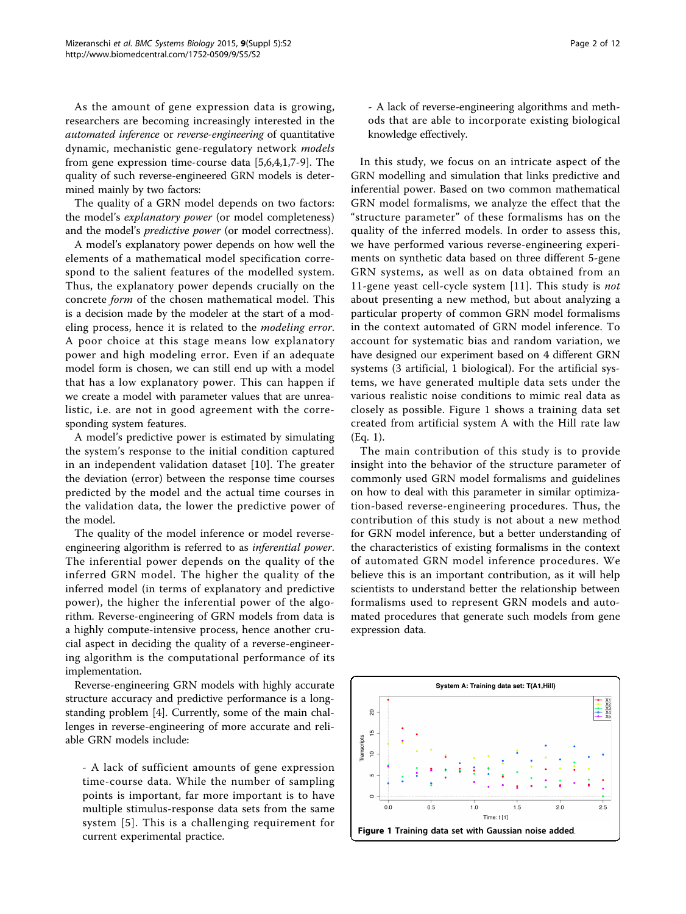As the amount of gene expression data is growing, researchers are becoming increasingly interested in the automated inference or reverse-engineering of quantitative dynamic, mechanistic gene-regulatory network models from gene expression time-course data [\[5,6,4,1,7](#page-10-0)-[9\]](#page-10-0). The quality of such reverse-engineered GRN models is determined mainly by two factors:

The quality of a GRN model depends on two factors: the model's explanatory power (or model completeness) and the model's predictive power (or model correctness).

A model's explanatory power depends on how well the elements of a mathematical model specification correspond to the salient features of the modelled system. Thus, the explanatory power depends crucially on the concrete form of the chosen mathematical model. This is a decision made by the modeler at the start of a modeling process, hence it is related to the modeling error. A poor choice at this stage means low explanatory power and high modeling error. Even if an adequate model form is chosen, we can still end up with a model that has a low explanatory power. This can happen if we create a model with parameter values that are unrealistic, i.e. are not in good agreement with the corresponding system features.

A model's predictive power is estimated by simulating the system's response to the initial condition captured in an independent validation dataset [[10](#page-10-0)]. The greater the deviation (error) between the response time courses predicted by the model and the actual time courses in the validation data, the lower the predictive power of the model.

The quality of the model inference or model reverseengineering algorithm is referred to as inferential power. The inferential power depends on the quality of the inferred GRN model. The higher the quality of the inferred model (in terms of explanatory and predictive power), the higher the inferential power of the algorithm. Reverse-engineering of GRN models from data is a highly compute-intensive process, hence another crucial aspect in deciding the quality of a reverse-engineering algorithm is the computational performance of its implementation.

Reverse-engineering GRN models with highly accurate structure accuracy and predictive performance is a longstanding problem [[4](#page-10-0)]. Currently, some of the main challenges in reverse-engineering of more accurate and reliable GRN models include:

- A lack of sufficient amounts of gene expression time-course data. While the number of sampling points is important, far more important is to have multiple stimulus-response data sets from the same system [[5\]](#page-10-0). This is a challenging requirement for current experimental practice.

- A lack of reverse-engineering algorithms and methods that are able to incorporate existing biological knowledge effectively.

In this study, we focus on an intricate aspect of the GRN modelling and simulation that links predictive and inferential power. Based on two common mathematical GRN model formalisms, we analyze the effect that the "structure parameter" of these formalisms has on the quality of the inferred models. In order to assess this, we have performed various reverse-engineering experiments on synthetic data based on three different 5-gene GRN systems, as well as on data obtained from an [11](#page-10-0)-gene yeast cell-cycle system [11]. This study is *not* about presenting a new method, but about analyzing a particular property of common GRN model formalisms in the context automated of GRN model inference. To account for systematic bias and random variation, we have designed our experiment based on 4 different GRN systems (3 artificial, 1 biological). For the artificial systems, we have generated multiple data sets under the various realistic noise conditions to mimic real data as closely as possible. Figure 1 shows a training data set created from artificial system A with the Hill rate law (Eq. 1).

The main contribution of this study is to provide insight into the behavior of the structure parameter of commonly used GRN model formalisms and guidelines on how to deal with this parameter in similar optimization-based reverse-engineering procedures. Thus, the contribution of this study is not about a new method for GRN model inference, but a better understanding of the characteristics of existing formalisms in the context of automated GRN model inference procedures. We believe this is an important contribution, as it will help scientists to understand better the relationship between formalisms used to represent GRN models and automated procedures that generate such models from gene expression data.

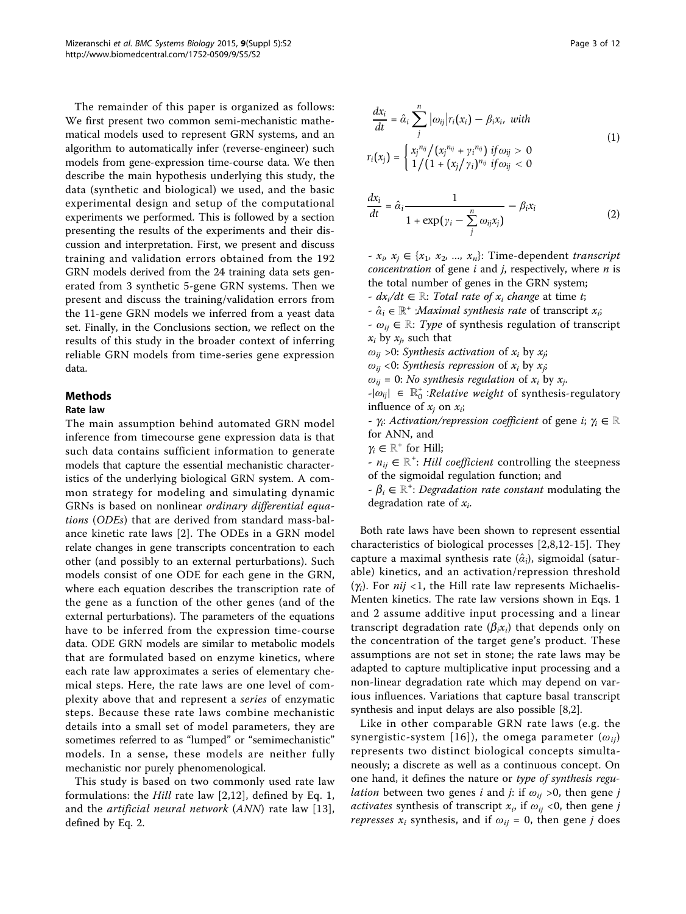The remainder of this paper is organized as follows: We first present two common semi-mechanistic mathematical models used to represent GRN systems, and an algorithm to automatically infer (reverse-engineer) such models from gene-expression time-course data. We then describe the main hypothesis underlying this study, the data (synthetic and biological) we used, and the basic experimental design and setup of the computational experiments we performed. This is followed by a section presenting the results of the experiments and their discussion and interpretation. First, we present and discuss training and validation errors obtained from the 192 GRN models derived from the 24 training data sets generated from 3 synthetic 5-gene GRN systems. Then we present and discuss the training/validation errors from the 11-gene GRN models we inferred from a yeast data set. Finally, in the Conclusions section, we reflect on the results of this study in the broader context of inferring reliable GRN models from time-series gene expression data.

### Methods

## Rate law

The main assumption behind automated GRN model inference from timecourse gene expression data is that such data contains sufficient information to generate models that capture the essential mechanistic characteristics of the underlying biological GRN system. A common strategy for modeling and simulating dynamic GRNs is based on nonlinear ordinary differential equations (ODEs) that are derived from standard mass-balance kinetic rate laws [[2\]](#page-10-0). The ODEs in a GRN model relate changes in gene transcripts concentration to each other (and possibly to an external perturbations). Such models consist of one ODE for each gene in the GRN, where each equation describes the transcription rate of the gene as a function of the other genes (and of the external perturbations). The parameters of the equations have to be inferred from the expression time-course data. ODE GRN models are similar to metabolic models that are formulated based on enzyme kinetics, where each rate law approximates a series of elementary chemical steps. Here, the rate laws are one level of complexity above that and represent a series of enzymatic steps. Because these rate laws combine mechanistic details into a small set of model parameters, they are sometimes referred to as "lumped" or "semimechanistic" models. In a sense, these models are neither fully mechanistic nor purely phenomenological.

This study is based on two commonly used rate law formulations: the Hill rate law [[2,12](#page-10-0)], defined by Eq. 1, and the artificial neural network (ANN) rate law [[13](#page-10-0)], defined by Eq. 2.

$$
\frac{dx_i}{dt} = \hat{\alpha}_i \sum_j^n |\omega_{ij}| r_i(x_i) - \beta_i x_i, \text{ with}
$$
\n
$$
r_i(x_j) = \begin{cases} x_j^{n_{ij}} / (x_j^{n_{ij}} + \gamma_i^{n_{ij}}) & \text{if } \omega_{ij} > 0 \\ 1 / (1 + (x_j / \gamma_i)^{n_{ij}} & \text{if } \omega_{ij} < 0 \end{cases} \tag{1}
$$

$$
\frac{dx_i}{dt} = \hat{\alpha}_i \frac{1}{1 + \exp(\gamma_i - \sum_{j}^{n} \omega_{ij} x_j)} - \beta_i x_i
$$
\n(2)

 $x_i, x_j \in \{x_1, x_2, ..., x_n\}$ : Time-dependent transcript *concentration* of gene  $i$  and  $j$ , respectively, where  $n$  is the total number of genes in the GRN system;

-  $dx_i/dt \in \mathbb{R}$ : Total rate of  $x_i$  change at time t;

 $- \hat{\alpha}_i \in \mathbb{R}^+$  :*Maximal synthesis rate* of transcript  $x_i$ ;

 $\omega_{ij} \in \mathbb{R}$ : Type of synthesis regulation of transcript  $x_i$  by  $x_i$ , such that

 $\omega_{ii}$  >0: Synthesis activation of  $x_i$  by  $x_i$ ;

 $\omega_{ij}$  < 0: Synthesis repression of  $x_i$  by  $x_j$ ;

 $\omega_{ii}$  = 0: No synthesis regulation of  $x_i$  by  $x_i$ .

 $-|\omega_{ij}| \in \mathbb{R}_0^+$ : *Relative weight* of synthesis-regulatory<br>influence of  $x_i$  on  $x_i$ . influence of  $x_i$  on  $x_i$ ;

-  $\gamma_i$ : Activation/repression coefficient of gene i;  $\gamma_i \in \mathbb{R}$ for ANN, and

 $\gamma_i \in \mathbb{R}^+$  for Hill;

-  $n_{ij} \in \mathbb{R}^+$ : Hill coefficient controlling the steepness<br>of the sigmoidal regulation function: and of the sigmoidal regulation function; and

-  $\beta_i \in \mathbb{R}^+$ : Degradation rate constant modulating the degradation rate of  $x_i$ . degradation rate of  $x_i$ .

Both rate laws have been shown to represent essential characteristics of biological processes [[2,8](#page-10-0),[12-15\]](#page-10-0). They capture a maximal synthesis rate  $(\hat{\alpha}_i)$ , sigmoidal (saturable) kinetics, and an activation/repression threshold  $(\gamma_i)$ . For *nij* <1, the Hill rate law represents Michaelis-Menten kinetics. The rate law versions shown in Eqs. 1 and 2 assume additive input processing and a linear transcript degradation rate ( $\beta_i x_i$ ) that depends only on the concentration of the target gene's product. These assumptions are not set in stone; the rate laws may be adapted to capture multiplicative input processing and a non-linear degradation rate which may depend on various influences. Variations that capture basal transcript synthesis and input delays are also possible [[8,2\]](#page-10-0).

Like in other comparable GRN rate laws (e.g. the synergistic-system [[16](#page-10-0)]), the omega parameter  $(\omega_{ij})$ represents two distinct biological concepts simultaneously; a discrete as well as a continuous concept. On one hand, it defines the nature or type of synthesis regu*lation* between two genes *i* and *j*: if  $\omega_{ii} > 0$ , then gene *j activates* synthesis of transcript  $x_i$ , if  $\omega_{ii} < 0$ , then gene j *represses*  $x_i$  synthesis, and if  $\omega_{ij} = 0$ , then gene *j* does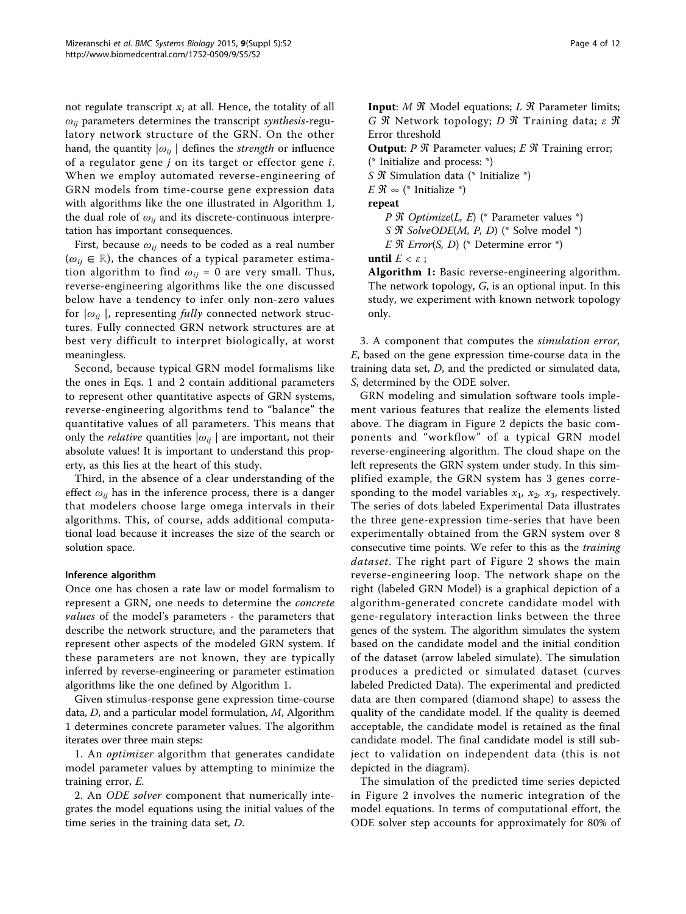not regulate transcript  $x_i$  at all. Hence, the totality of all  $\omega_{ii}$  parameters determines the transcript synthesis-regulatory network structure of the GRN. On the other hand, the quantity  $|\omega_{ii}|$  defines the *strength* or influence of a regulator gene  $j$  on its target or effector gene  $i$ . When we employ automated reverse-engineering of GRN models from time-course gene expression data with algorithms like the one illustrated in Algorithm 1, the dual role of  $\omega_{ij}$  and its discrete-continuous interpretation has important consequences.

First, because  $\omega_{ij}$  needs to be coded as a real number  $(\omega_{ij} \in \mathbb{R})$ , the chances of a typical parameter estimation algorithm to find  $\omega_{ii} = 0$  are very small. Thus, reverse-engineering algorithms like the one discussed below have a tendency to infer only non-zero values for  $|\omega_{ii}|$ , representing *fully* connected network structures. Fully connected GRN network structures are at best very difficult to interpret biologically, at worst meaningless.

Second, because typical GRN model formalisms like the ones in Eqs. 1 and 2 contain additional parameters to represent other quantitative aspects of GRN systems, reverse-engineering algorithms tend to "balance" the quantitative values of all parameters. This means that only the *relative* quantities  $|\omega_{ii}|$  are important, not their absolute values! It is important to understand this property, as this lies at the heart of this study.

Third, in the absence of a clear understanding of the effect  $\omega_{ij}$  has in the inference process, there is a danger that modelers choose large omega intervals in their algorithms. This, of course, adds additional computational load because it increases the size of the search or solution space.

## Inference algorithm

Once one has chosen a rate law or model formalism to represent a GRN, one needs to determine the concrete values of the model's parameters - the parameters that describe the network structure, and the parameters that represent other aspects of the modeled GRN system. If these parameters are not known, they are typically inferred by reverse-engineering or parameter estimation algorithms like the one defined by Algorithm 1.

Given stimulus-response gene expression time-course data, D, and a particular model formulation, M, Algorithm 1 determines concrete parameter values. The algorithm iterates over three main steps:

1. An *optimizer* algorithm that generates candidate model parameter values by attempting to minimize the training error, E.

2. An ODE solver component that numerically integrates the model equations using the initial values of the time series in the training data set, D.

**Input:**  $M \mathcal{R}$  Model equations;  $L \mathcal{R}$  Parameter limits; G  $\Re$  Network topology; D  $\Re$  Training data;  $\varepsilon \Re$ Error threshold

**Output:**  $P$   $\mathcal{R}$  Parameter values;  $E$   $\mathcal{R}$  Training error;

(\* Initialize and process: \*)

S  $\mathcal{R}$  Simulation data (\* Initialize \*)

 $E \mathcal{R} \in (\text{" Initialize } \text{*})$ <br>repeat

P  $\Re$  Optimize(L, E) (\* Parameter values \*)<br>S  $\Re$  SolveODE(M, P, D) (\* Solve model \*)  $S \mathcal{R}$  SolveODE(M, P, D) (\* Solve model \*)

 $E \mathcal{R}$  Error(S, D) (\* Determine error \*)

until  $E < \varepsilon$ ;

Algorithm 1: Basic reverse-engineering algorithm. The network topology, G, is an optional input. In this study, we experiment with known network topology only.

3. A component that computes the simulation error, E, based on the gene expression time-course data in the training data set, D, and the predicted or simulated data, S, determined by the ODE solver.

GRN modeling and simulation software tools implement various features that realize the elements listed above. The diagram in Figure [2](#page-4-0) depicts the basic components and "workflow" of a typical GRN model reverse-engineering algorithm. The cloud shape on the left represents the GRN system under study. In this simplified example, the GRN system has 3 genes corresponding to the model variables  $x_1$ ,  $x_2$ ,  $x_3$ , respectively. The series of dots labeled Experimental Data illustrates the three gene-expression time-series that have been experimentally obtained from the GRN system over 8 consecutive time points. We refer to this as the training dataset. The right part of Figure [2](#page-4-0) shows the main reverse-engineering loop. The network shape on the right (labeled GRN Model) is a graphical depiction of a algorithm-generated concrete candidate model with gene-regulatory interaction links between the three genes of the system. The algorithm simulates the system based on the candidate model and the initial condition of the dataset (arrow labeled simulate). The simulation produces a predicted or simulated dataset (curves labeled Predicted Data). The experimental and predicted data are then compared (diamond shape) to assess the quality of the candidate model. If the quality is deemed acceptable, the candidate model is retained as the final candidate model. The final candidate model is still subject to validation on independent data (this is not depicted in the diagram).

The simulation of the predicted time series depicted in Figure [2](#page-4-0) involves the numeric integration of the model equations. In terms of computational effort, the ODE solver step accounts for approximately for 80% of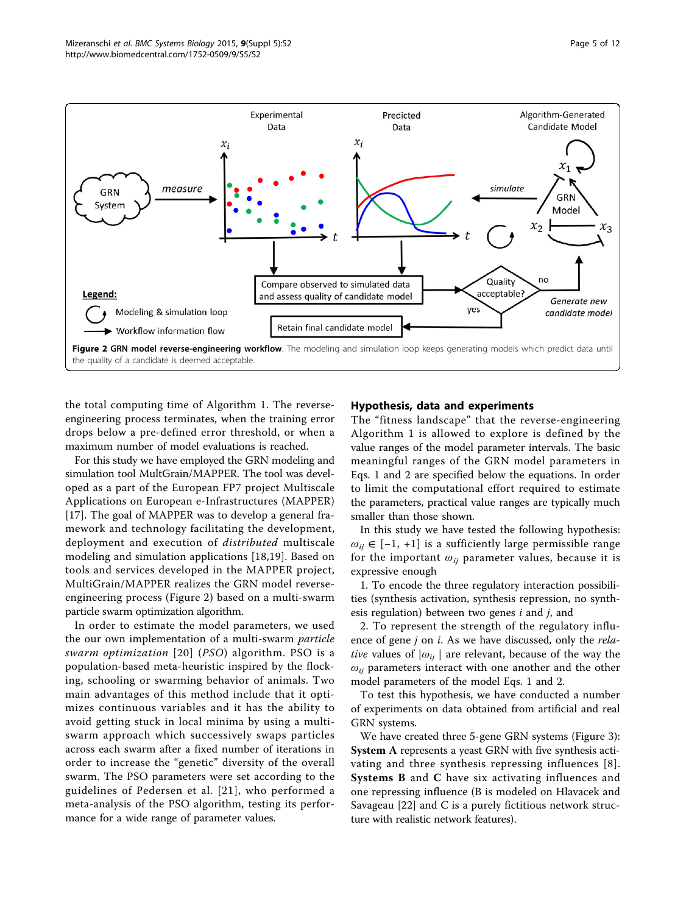<span id="page-4-0"></span>

the total computing time of Algorithm 1. The reverseengineering process terminates, when the training error drops below a pre-defined error threshold, or when a maximum number of model evaluations is reached.

For this study we have employed the GRN modeling and simulation tool MultGrain/MAPPER. The tool was developed as a part of the European FP7 project Multiscale Applications on European e-Infrastructures (MAPPER) [[17\]](#page-10-0). The goal of MAPPER was to develop a general framework and technology facilitating the development, deployment and execution of distributed multiscale modeling and simulation applications [\[18,19\]](#page-10-0). Based on tools and services developed in the MAPPER project, MultiGrain/MAPPER realizes the GRN model reverseengineering process (Figure 2) based on a multi-swarm particle swarm optimization algorithm.

In order to estimate the model parameters, we used the our own implementation of a multi-swarm particle swarm optimization [[20\]](#page-11-0) (PSO) algorithm. PSO is a population-based meta-heuristic inspired by the flocking, schooling or swarming behavior of animals. Two main advantages of this method include that it optimizes continuous variables and it has the ability to avoid getting stuck in local minima by using a multiswarm approach which successively swaps particles across each swarm after a fixed number of iterations in order to increase the "genetic" diversity of the overall swarm. The PSO parameters were set according to the guidelines of Pedersen et al. [[21](#page-11-0)], who performed a meta-analysis of the PSO algorithm, testing its performance for a wide range of parameter values.

### Hypothesis, data and experiments

The "fitness landscape" that the reverse-engineering Algorithm 1 is allowed to explore is defined by the value ranges of the model parameter intervals. The basic meaningful ranges of the GRN model parameters in Eqs. 1 and 2 are specified below the equations. In order to limit the computational effort required to estimate the parameters, practical value ranges are typically much smaller than those shown.

In this study we have tested the following hypothesis:  $ω_{ij}$  ∈ [-1, +1] is a sufficiently large permissible range for the important  $\omega_{ij}$  parameter values, because it is expressive enough

1. To encode the three regulatory interaction possibilities (synthesis activation, synthesis repression, no synthesis regulation) between two genes  $i$  and  $j$ , and

2. To represent the strength of the regulatory influence of gene j on i. As we have discussed, only the relative values of  $|\omega_{ii}|$  are relevant, because of the way the  $\omega_{ij}$  parameters interact with one another and the other model parameters of the model Eqs. 1 and 2.

To test this hypothesis, we have conducted a number of experiments on data obtained from artificial and real GRN systems.

We have created three 5-gene GRN systems (Figure [3\)](#page-5-0): System A represents a yeast GRN with five synthesis activating and three synthesis repressing influences [[8\]](#page-10-0). Systems B and C have six activating influences and one repressing influence (B is modeled on Hlavacek and Savageau [[22](#page-11-0)] and C is a purely fictitious network structure with realistic network features).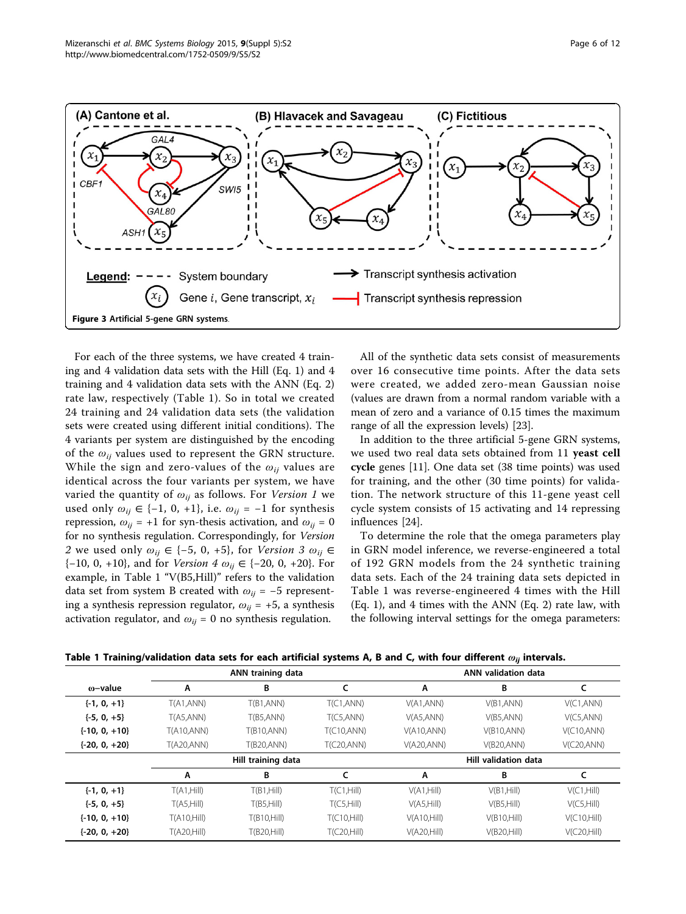<span id="page-5-0"></span>

For each of the three systems, we have created 4 training and 4 validation data sets with the Hill (Eq. 1) and 4 training and 4 validation data sets with the ANN (Eq. 2) rate law, respectively (Table 1). So in total we created 24 training and 24 validation data sets (the validation sets were created using different initial conditions). The 4 variants per system are distinguished by the encoding of the  $\omega_{ii}$  values used to represent the GRN structure. While the sign and zero-values of the  $\omega_{ii}$  values are identical across the four variants per system, we have varied the quantity of  $\omega_{ij}$  as follows. For Version 1 we used only  $ω_{ij}$  ∈ {-1, 0, +1}, i.e.  $ω_{ij}$  = -1 for synthesis repression,  $\omega_{ij}$  = +1 for syn-thesis activation, and  $\omega_{ij}$  = 0 for no synthesis regulation. Correspondingly, for Version 2 we used only  $\omega_{ij} \in \{-5, 0, +5\}$ , for Version 3  $\omega_{ii} \in$ {-10, 0, +10}, and for *Version 4*  $\omega_{ij} \in$  {-20, 0, +20}. For example, in Table 1 "V(B5,Hill)" refers to the validation data set from system B created with  $\omega_{ii}$  = −5 representing a synthesis repression regulator,  $\omega_{ii} = +5$ , a synthesis activation regulator, and  $\omega_{ij} = 0$  no synthesis regulation.

All of the synthetic data sets consist of measurements over 16 consecutive time points. After the data sets were created, we added zero-mean Gaussian noise (values are drawn from a normal random variable with a mean of zero and a variance of 0.15 times the maximum range of all the expression levels) [\[23\]](#page-11-0).

In addition to the three artificial 5-gene GRN systems, we used two real data sets obtained from 11 yeast cell cycle genes [\[11](#page-10-0)]. One data set (38 time points) was used for training, and the other (30 time points) for validation. The network structure of this 11-gene yeast cell cycle system consists of 15 activating and 14 repressing influences [[24\]](#page-11-0).

To determine the role that the omega parameters play in GRN model inference, we reverse-engineered a total of 192 GRN models from the 24 synthetic training data sets. Each of the 24 training data sets depicted in Table 1 was reverse-engineered 4 times with the Hill (Eq. 1), and 4 times with the ANN (Eq. 2) rate law, with the following interval settings for the omega parameters:

|  | Table 1 Training/validation data sets for each artificial systems A, B and C, with four different $\omega_{ij}$ intervals. |
|--|----------------------------------------------------------------------------------------------------------------------------|
|--|----------------------------------------------------------------------------------------------------------------------------|

|                   |              | ANN training data  |              | <b>ANN validation data</b> |                      |              |  |  |  |
|-------------------|--------------|--------------------|--------------|----------------------------|----------------------|--------------|--|--|--|
|                   |              |                    |              |                            |                      |              |  |  |  |
| $\omega$ -value   | A            | В                  |              | A                          | B                    |              |  |  |  |
| $\{-1, 0, +1\}$   | T(A1, ANN)   | T(B1, ANN)         | T(C1, ANN)   | V(A1.ANN)                  | V(B1.ANN)            | V(C1, ANN)   |  |  |  |
| $\{-5, 0, +5\}$   | T(A5.ANN)    | T(B5, ANN)         | T(C5, ANN)   | V(AS.ANN)                  | V(B5, ANN)           | V(C5, ANN)   |  |  |  |
| $\{-10, 0, +10\}$ | T(A10.ANN)   | <b>T(B10.ANN)</b>  | T(C10.ANN)   | V(A10, ANN)                | V(B10, ANN)          | V(C10.ANN)   |  |  |  |
| $\{-20, 0, +20\}$ | T(A20, ANN)  | <b>T(B20,ANN)</b>  | T(C20, ANN)  | V(A20, ANN)                | V(B20, ANN)          | V(C20, ANN)  |  |  |  |
|                   |              | Hill training data |              |                            | Hill validation data |              |  |  |  |
|                   | A            | В                  |              | A                          | B                    |              |  |  |  |
| $\{-1, 0, +1\}$   | T(A1, Hill)  | T(B1, Hill)        | T(C1, Hill)  | V(A1, Hill)                | V(B1, Hill)          | V(C1, Hill)  |  |  |  |
| $\{-5, 0, +5\}$   | T(A5, Hill)  | T(B5, Hill)        | T(C5, Hill)  | V(A5, Hill)                | V(B5, Hill)          | V(C5, Hill)  |  |  |  |
| $\{-10, 0, +10\}$ | T(A10, Hill) | T(B10, Hill)       | T(C10, Hill) | V(A10, Hill)               | V(B10, Hill)         | V(C10, Hill) |  |  |  |
| $\{-20, 0, +20\}$ | T(A20,Hill)  | T(B20,Hill)        | T(C20,Hill)  | V(A20, Hill)               | V(B20, Hill)         | V(C20, Hill) |  |  |  |
|                   |              |                    |              |                            |                      |              |  |  |  |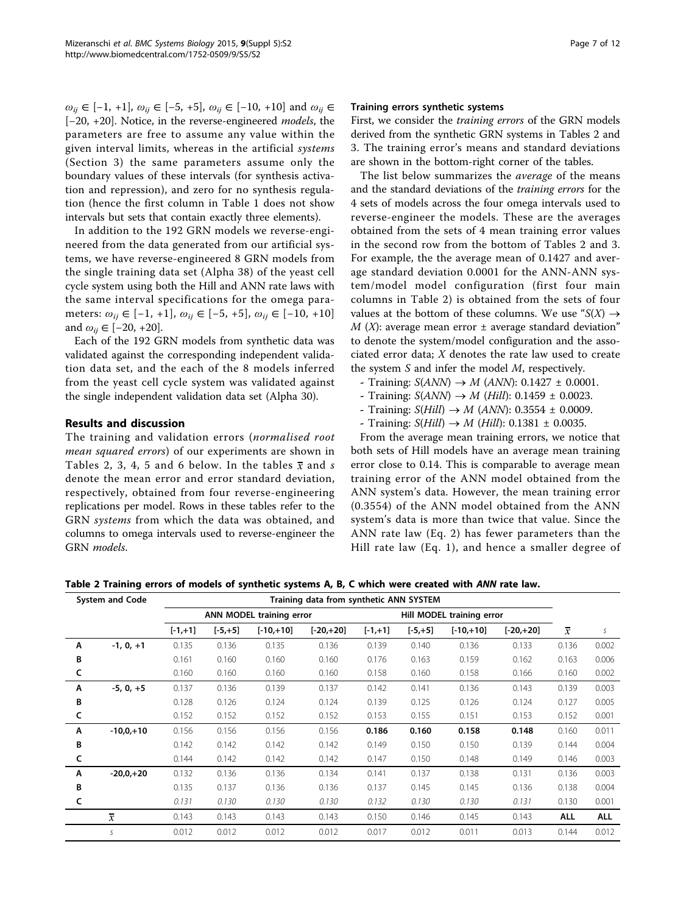<span id="page-6-0"></span> $\omega_{ii} \in [-1, +1], \omega_{ii} \in [-5, +5], \omega_{ii} \in [-10, +10]$  and  $\omega_{ii} \in$ [−20, +20]. Notice, in the reverse-engineered *models*, the parameters are free to assume any value within the given interval limits, whereas in the artificial systems (Section 3) the same parameters assume only the boundary values of these intervals (for synthesis activation and repression), and zero for no synthesis regulation (hence the first column in Table [1](#page-5-0) does not show intervals but sets that contain exactly three elements).

In addition to the 192 GRN models we reverse-engineered from the data generated from our artificial systems, we have reverse-engineered 8 GRN models from the single training data set (Alpha 38) of the yeast cell cycle system using both the Hill and ANN rate laws with the same interval specifications for the omega parameters:  $\omega_{ij}$  ∈ [-1, +1],  $\omega_{ij}$  ∈ [-5, +5],  $\omega_{ij}$  ∈ [-10, +10] and  $ω_{ij}$  ∈ [-20, +20].

Each of the 192 GRN models from synthetic data was validated against the corresponding independent validation data set, and the each of the 8 models inferred from the yeast cell cycle system was validated against the single independent validation data set (Alpha 30).

## Results and discussion

The training and validation errors (normalised root mean squared errors) of our experiments are shown in Tables 2, [3](#page-7-0), [4](#page-7-0), [5](#page-8-0) and [6](#page-8-0) below. In the tables  $\bar{x}$  and *s* denote the mean error and error standard deviation, respectively, obtained from four reverse-engineering replications per model. Rows in these tables refer to the GRN systems from which the data was obtained, and columns to omega intervals used to reverse-engineer the GRN models.

#### Training errors synthetic systems

First, we consider the training errors of the GRN models derived from the synthetic GRN systems in Tables 2 and [3.](#page-7-0) The training error's means and standard deviations are shown in the bottom-right corner of the tables.

The list below summarizes the *average* of the means and the standard deviations of the training errors for the 4 sets of models across the four omega intervals used to reverse-engineer the models. These are the averages obtained from the sets of 4 mean training error values in the second row from the bottom of Tables 2 and [3](#page-7-0). For example, the the average mean of 0.1427 and average standard deviation 0.0001 for the ANN-ANN system/model model configuration (first four main columns in Table 2) is obtained from the sets of four values at the bottom of these columns. We use " $S(X) \rightarrow$  $M(X)$ : average mean error  $\pm$  average standard deviation" to denote the system/model configuration and the associated error data;  $X$  denotes the rate law used to create the system  $S$  and infer the model  $M$ , respectively.

- Training:  $S(ANN) \to M (ANN)$ : 0.1427 ± 0.0001.
- Training:  $S(ANN) \to M$  (*Hill*): 0.1459 ± 0.0023.
- Training:  $S(Hill) \to M (ANN)$ : 0.3554 ± 0.0009.
- Training:  $S(Hill) \to M(Hill)$ : 0.1381 ± 0.0035.

From the average mean training errors, we notice that both sets of Hill models have an average mean training error close to 0.14. This is comparable to average mean training error of the ANN model obtained from the ANN system's data. However, the mean training error (0.3554) of the ANN model obtained from the ANN system's data is more than twice that value. Since the ANN rate law (Eq. 2) has fewer parameters than the Hill rate law (Eq. 1), and hence a smaller degree of

Table 2 Training errors of models of synthetic systems A, B, C which were created with ANN rate law.

| <b>System and Code</b> |                |           |            |                          |              |           |                           |             |           |                |            |
|------------------------|----------------|-----------|------------|--------------------------|--------------|-----------|---------------------------|-------------|-----------|----------------|------------|
|                        |                |           |            | ANN MODEL training error |              |           | Hill MODEL training error |             |           |                |            |
|                        |                | $[-1,+1]$ | $[-5, +5]$ | $[-10,+10]$              | $[-20, +20]$ | $[-1,+1]$ | $[-5, +5]$                | $[-10,+10]$ | [-20,+20] | $\overline{x}$ | S          |
| A                      | $-1, 0, +1$    | 0.135     | 0.136      | 0.135                    | 0.136        | 0.139     | 0.140                     | 0.136       | 0.133     | 0.136          | 0.002      |
| В                      |                | 0.161     | 0.160      | 0.160                    | 0.160        | 0.176     | 0.163                     | 0.159       | 0.162     | 0.163          | 0.006      |
| c                      |                | 0.160     | 0.160      | 0.160                    | 0.160        | 0.158     | 0.160                     | 0.158       | 0.166     | 0.160          | 0.002      |
| A                      | $-5, 0, +5$    | 0.137     | 0.136      | 0.139                    | 0.137        | 0.142     | 0.141                     | 0.136       | 0.143     | 0.139          | 0.003      |
| В                      |                | 0.128     | 0.126      | 0.124                    | 0.124        | 0.139     | 0.125                     | 0.126       | 0.124     | 0.127          | 0.005      |
| c                      |                | 0.152     | 0.152      | 0.152                    | 0.152        | 0.153     | 0.155                     | 0.151       | 0.153     | 0.152          | 0.001      |
| A                      | $-10,0,+10$    | 0.156     | 0.156      | 0.156                    | 0.156        | 0.186     | 0.160                     | 0.158       | 0.148     | 0.160          | 0.011      |
| В                      |                | 0.142     | 0.142      | 0.142                    | 0.142        | 0.149     | 0.150                     | 0.150       | 0.139     | 0.144          | 0.004      |
| c                      |                | 0.144     | 0.142      | 0.142                    | 0.142        | 0.147     | 0.150                     | 0.148       | 0.149     | 0.146          | 0.003      |
| A                      | $-20,0,+20$    | 0.132     | 0.136      | 0.136                    | 0.134        | 0.141     | 0.137                     | 0.138       | 0.131     | 0.136          | 0.003      |
| В                      |                | 0.135     | 0.137      | 0.136                    | 0.136        | 0.137     | 0.145                     | 0.145       | 0.136     | 0.138          | 0.004      |
| c                      |                | 0.131     | 0.130      | 0.130                    | 0.130        | 0.132     | 0.130                     | 0.130       | 0.131     | 0.130          | 0.001      |
|                        | $\overline{x}$ | 0.143     | 0.143      | 0.143                    | 0.143        | 0.150     | 0.146                     | 0.145       | 0.143     | <b>ALL</b>     | <b>ALL</b> |
|                        | S              | 0.012     | 0.012      | 0.012                    | 0.012        | 0.017     | 0.012                     | 0.011       | 0.013     | 0.144          | 0.012      |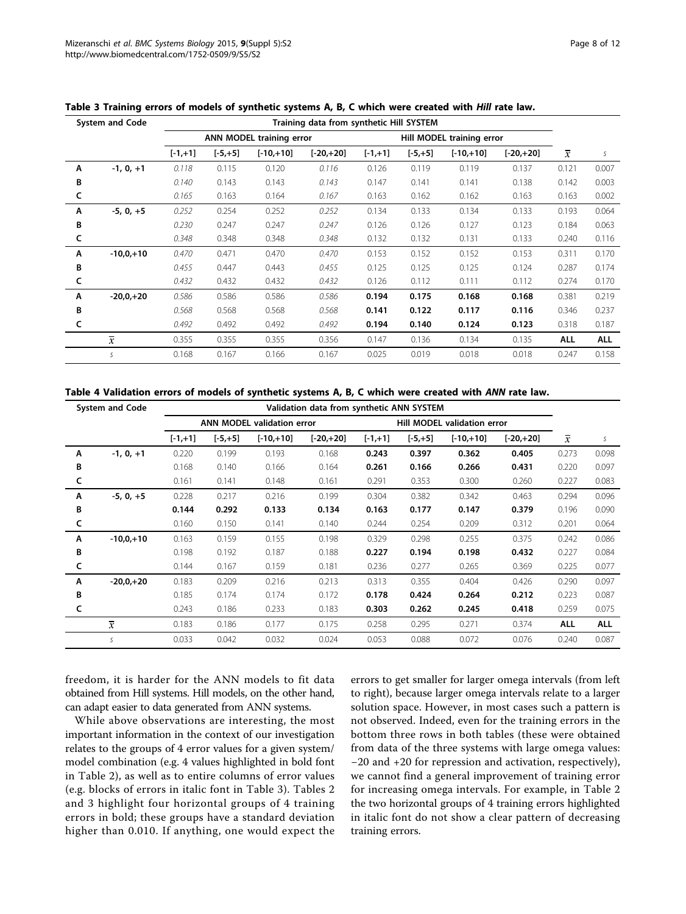|   | <b>System and Code</b> | Training data from synthetic Hill SYSTEM |            |                          |              |           |            |                           |              |                |            |
|---|------------------------|------------------------------------------|------------|--------------------------|--------------|-----------|------------|---------------------------|--------------|----------------|------------|
|   |                        |                                          |            | ANN MODEL training error |              |           |            | Hill MODEL training error |              |                |            |
|   |                        | $[-1,+1]$                                | $[-5, +5]$ | $[-10,+10]$              | $[-20, +20]$ | $[-1,+1]$ | $[-5, +5]$ | $[-10,+10]$               | $[-20, +20]$ | $\overline{x}$ | S          |
| Α | $-1, 0, +1$            | 0.118                                    | 0.115      | 0.120                    | 0.116        | 0.126     | 0.119      | 0.119                     | 0.137        | 0.121          | 0.007      |
| В |                        | 0.140                                    | 0.143      | 0.143                    | 0.143        | 0.147     | 0.141      | 0.141                     | 0.138        | 0.142          | 0.003      |
| c |                        | 0.165                                    | 0.163      | 0.164                    | 0.167        | 0.163     | 0.162      | 0.162                     | 0.163        | 0.163          | 0.002      |
| A | $-5, 0, +5$            | 0.252                                    | 0.254      | 0.252                    | 0.252        | 0.134     | 0.133      | 0.134                     | 0.133        | 0.193          | 0.064      |
| B |                        | 0.230                                    | 0.247      | 0.247                    | 0.247        | 0.126     | 0.126      | 0.127                     | 0.123        | 0.184          | 0.063      |
| c |                        | 0.348                                    | 0.348      | 0.348                    | 0.348        | 0.132     | 0.132      | 0.131                     | 0.133        | 0.240          | 0.116      |
| A | $-10,0,+10$            | 0.470                                    | 0.471      | 0.470                    | 0.470        | 0.153     | 0.152      | 0.152                     | 0.153        | 0.311          | 0.170      |
| В |                        | 0.455                                    | 0.447      | 0.443                    | 0.455        | 0.125     | 0.125      | 0.125                     | 0.124        | 0.287          | 0.174      |
| c |                        | 0.432                                    | 0.432      | 0.432                    | 0.432        | 0.126     | 0.112      | 0.111                     | 0.112        | 0.274          | 0.170      |
| Α | $-20,0,+20$            | 0.586                                    | 0.586      | 0.586                    | 0.586        | 0.194     | 0.175      | 0.168                     | 0.168        | 0.381          | 0.219      |
| B |                        | 0.568                                    | 0.568      | 0.568                    | 0.568        | 0.141     | 0.122      | 0.117                     | 0.116        | 0.346          | 0.237      |
| c |                        | 0.492                                    | 0.492      | 0.492                    | 0.492        | 0.194     | 0.140      | 0.124                     | 0.123        | 0.318          | 0.187      |
|   | $\overline{x}$         | 0.355                                    | 0.355      | 0.355                    | 0.356        | 0.147     | 0.136      | 0.134                     | 0.135        | <b>ALL</b>     | <b>ALL</b> |
|   | S                      | 0.168                                    | 0.167      | 0.166                    | 0.167        | 0.025     | 0.019      | 0.018                     | 0.018        | 0.247          | 0.158      |

<span id="page-7-0"></span>Table 3 Training errors of models of synthetic systems A, B, C which were created with Hill rate law.

Table 4 Validation errors of models of synthetic systems A, B, C which were created with ANN rate law.

|   | <b>System and Code</b> | Validation data from synthetic ANN SYSTEM |            |                                   |              |           |            |                             |             |                |            |
|---|------------------------|-------------------------------------------|------------|-----------------------------------|--------------|-----------|------------|-----------------------------|-------------|----------------|------------|
|   |                        |                                           |            | <b>ANN MODEL validation error</b> |              |           |            | Hill MODEL validation error |             |                |            |
|   |                        | $[-1,+1]$                                 | $[-5, +5]$ | $[-10,+10]$                       | $[-20, +20]$ | $[-1,+1]$ | $[-5, +5]$ | $[-10,+10]$                 | $[-20,+20]$ | $\overline{x}$ | S          |
| A | $-1, 0, +1$            | 0.220                                     | 0.199      | 0.193                             | 0.168        | 0.243     | 0.397      | 0.362                       | 0.405       | 0.273          | 0.098      |
| В |                        | 0.168                                     | 0.140      | 0.166                             | 0.164        | 0.261     | 0.166      | 0.266                       | 0.431       | 0.220          | 0.097      |
| c |                        | 0.161                                     | 0.141      | 0.148                             | 0.161        | 0.291     | 0.353      | 0.300                       | 0.260       | 0.227          | 0.083      |
| A | $-5, 0, +5$            | 0.228                                     | 0.217      | 0.216                             | 0.199        | 0.304     | 0.382      | 0.342                       | 0.463       | 0.294          | 0.096      |
| В |                        | 0.144                                     | 0.292      | 0.133                             | 0.134        | 0.163     | 0.177      | 0.147                       | 0.379       | 0.196          | 0.090      |
| c |                        | 0.160                                     | 0.150      | 0.141                             | 0.140        | 0.244     | 0.254      | 0.209                       | 0.312       | 0.201          | 0.064      |
| Α | $-10,0,+10$            | 0.163                                     | 0.159      | 0.155                             | 0.198        | 0.329     | 0.298      | 0.255                       | 0.375       | 0.242          | 0.086      |
| В |                        | 0.198                                     | 0.192      | 0.187                             | 0.188        | 0.227     | 0.194      | 0.198                       | 0.432       | 0.227          | 0.084      |
| c |                        | 0.144                                     | 0.167      | 0.159                             | 0.181        | 0.236     | 0.277      | 0.265                       | 0.369       | 0.225          | 0.077      |
| A | $-20,0,+20$            | 0.183                                     | 0.209      | 0.216                             | 0.213        | 0.313     | 0.355      | 0.404                       | 0.426       | 0.290          | 0.097      |
| В |                        | 0.185                                     | 0.174      | 0.174                             | 0.172        | 0.178     | 0.424      | 0.264                       | 0.212       | 0.223          | 0.087      |
| c |                        | 0.243                                     | 0.186      | 0.233                             | 0.183        | 0.303     | 0.262      | 0.245                       | 0.418       | 0.259          | 0.075      |
|   | $\overline{x}$         | 0.183                                     | 0.186      | 0.177                             | 0.175        | 0.258     | 0.295      | 0.271                       | 0.374       | <b>ALL</b>     | <b>ALL</b> |
|   | S                      | 0.033                                     | 0.042      | 0.032                             | 0.024        | 0.053     | 0.088      | 0.072                       | 0.076       | 0.240          | 0.087      |

freedom, it is harder for the ANN models to fit data obtained from Hill systems. Hill models, on the other hand, can adapt easier to data generated from ANN systems.

While above observations are interesting, the most important information in the context of our investigation relates to the groups of 4 error values for a given system/ model combination (e.g. 4 values highlighted in bold font in Table [2\)](#page-6-0), as well as to entire columns of error values (e.g. blocks of errors in italic font in Table 3). Tables [2](#page-6-0) and 3 highlight four horizontal groups of 4 training errors in bold; these groups have a standard deviation higher than 0.010. If anything, one would expect the errors to get smaller for larger omega intervals (from left to right), because larger omega intervals relate to a larger solution space. However, in most cases such a pattern is not observed. Indeed, even for the training errors in the bottom three rows in both tables (these were obtained from data of the three systems with large omega values: −20 and +20 for repression and activation, respectively), we cannot find a general improvement of training error for increasing omega intervals. For example, in Table [2](#page-6-0) the two horizontal groups of 4 training errors highlighted in italic font do not show a clear pattern of decreasing training errors.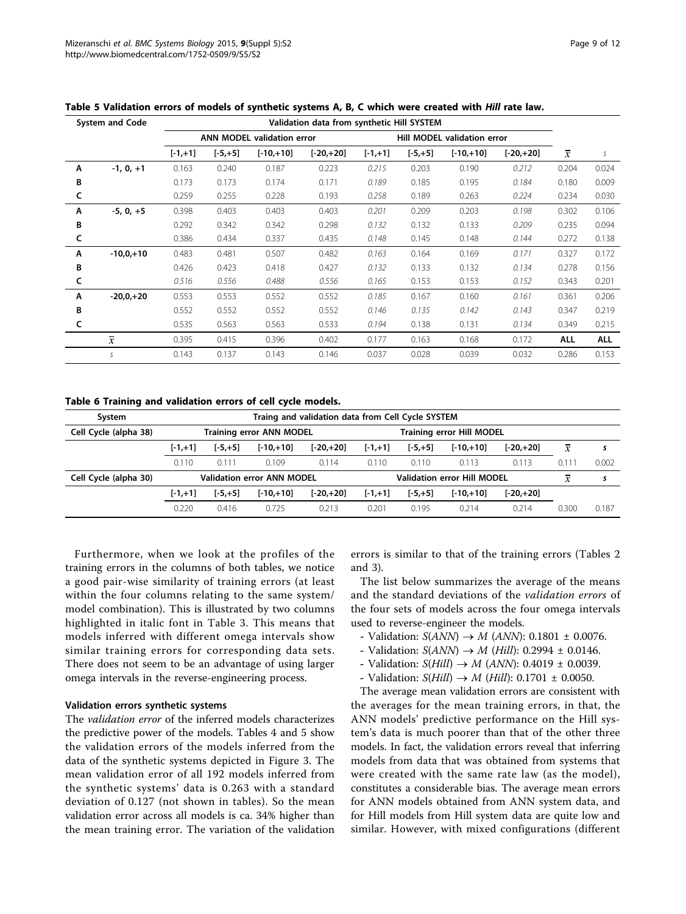|   | <b>System and Code</b> | Validation data from synthetic Hill SYSTEM |            |                            |              |           |            |                             |              |                |            |
|---|------------------------|--------------------------------------------|------------|----------------------------|--------------|-----------|------------|-----------------------------|--------------|----------------|------------|
|   |                        |                                            |            | ANN MODEL validation error |              |           |            | Hill MODEL validation error |              |                |            |
|   |                        | $[-1,+1]$                                  | $[-5, +5]$ | $[-10,+10]$                | $[-20, +20]$ | $[-1,+1]$ | $[-5, +5]$ | $[-10,+10]$                 | $[-20, +20]$ | $\overline{x}$ | S          |
| Α | $-1, 0, +1$            | 0.163                                      | 0.240      | 0.187                      | 0.223        | 0.215     | 0.203      | 0.190                       | 0.212        | 0.204          | 0.024      |
| В |                        | 0.173                                      | 0.173      | 0.174                      | 0.171        | 0.189     | 0.185      | 0.195                       | 0.184        | 0.180          | 0.009      |
| c |                        | 0.259                                      | 0.255      | 0.228                      | 0.193        | 0.258     | 0.189      | 0.263                       | 0.224        | 0.234          | 0.030      |
| Α | $-5, 0, +5$            | 0.398                                      | 0.403      | 0.403                      | 0.403        | 0.201     | 0.209      | 0.203                       | 0.198        | 0.302          | 0.106      |
| B |                        | 0.292                                      | 0.342      | 0.342                      | 0.298        | 0.132     | 0.132      | 0.133                       | 0.209        | 0.235          | 0.094      |
| c |                        | 0.386                                      | 0.434      | 0.337                      | 0.435        | 0.148     | 0.145      | 0.148                       | 0.144        | 0.272          | 0.138      |
| A | $-10,0,+10$            | 0.483                                      | 0.481      | 0.507                      | 0.482        | 0.163     | 0.164      | 0.169                       | 0.171        | 0.327          | 0.172      |
| B |                        | 0.426                                      | 0.423      | 0.418                      | 0.427        | 0.132     | 0.133      | 0.132                       | 0.134        | 0.278          | 0.156      |
| c |                        | 0.516                                      | 0.556      | 0.488                      | 0.556        | 0.165     | 0.153      | 0.153                       | 0.152        | 0.343          | 0.201      |
| A | $-20,0,+20$            | 0.553                                      | 0.553      | 0.552                      | 0.552        | 0.185     | 0.167      | 0.160                       | 0.161        | 0.361          | 0.206      |
| B |                        | 0.552                                      | 0.552      | 0.552                      | 0.552        | 0.146     | 0.135      | 0.142                       | 0.143        | 0.347          | 0.219      |
| c |                        | 0.535                                      | 0.563      | 0.563                      | 0.533        | 0.194     | 0.138      | 0.131                       | 0.134        | 0.349          | 0.215      |
|   | $\overline{x}$         | 0.395                                      | 0.415      | 0.396                      | 0.402        | 0.177     | 0.163      | 0.168                       | 0.172        | <b>ALL</b>     | <b>ALL</b> |
|   | S                      | 0.143                                      | 0.137      | 0.143                      | 0.146        | 0.037     | 0.028      | 0.039                       | 0.032        | 0.286          | 0.153      |

<span id="page-8-0"></span>Table 5 Validation errors of models of synthetic systems A, B, C which were created with Hill rate law.

#### Table 6 Training and validation errors of cell cycle models.

| System                | Traing and validation data from Cell Cycle SYSTEM |            |                                   |              |           |                           |                                    |              |                |       |
|-----------------------|---------------------------------------------------|------------|-----------------------------------|--------------|-----------|---------------------------|------------------------------------|--------------|----------------|-------|
| Cell Cycle (alpha 38) |                                                   |            | <b>Training error ANN MODEL</b>   |              |           | Training error Hill MODEL |                                    |              |                |       |
|                       | $[-1,+1]$                                         | $[-5, +5]$ | $[-10, +10]$                      | $[-20, +20]$ | $[-1,+1]$ | $[-5, +5]$                | $[-10,+10]$                        | $[-20, +20]$ | $\overline{x}$ |       |
|                       | 0.110                                             | 0.111      | 0.109                             | 0.114        | 0.110     | 0.110                     | 0.113                              | 0.113        | 0.11           | 0.002 |
| Cell Cycle (alpha 30) |                                                   |            | <b>Validation error ANN MODEL</b> |              |           |                           | <b>Validation error Hill MODEL</b> |              | $\mathcal{X}$  |       |
|                       | $[-1,+1]$                                         | $[-5, +5]$ | $[-10, +10]$                      | $[-20, +20]$ | $[-1,+1]$ | $[-5, +5]$                | $[-10,+10]$                        | $[-20,+20]$  |                |       |
|                       | 0.220                                             | 0.416      | 0.725                             | 0.213        | 0.201     | 0.195                     | 0.214                              | 0.214        | 0.300          | 0.187 |

Furthermore, when we look at the profiles of the training errors in the columns of both tables, we notice a good pair-wise similarity of training errors (at least within the four columns relating to the same system/ model combination). This is illustrated by two columns highlighted in italic font in Table [3](#page-7-0). This means that models inferred with different omega intervals show similar training errors for corresponding data sets. There does not seem to be an advantage of using larger omega intervals in the reverse-engineering process.

#### Validation errors synthetic systems

The validation error of the inferred models characterizes the predictive power of the models. Tables [4](#page-7-0) and 5 show the validation errors of the models inferred from the data of the synthetic systems depicted in Figure [3](#page-5-0). The mean validation error of all 192 models inferred from the synthetic systems' data is 0.263 with a standard deviation of 0.127 (not shown in tables). So the mean validation error across all models is ca. 34% higher than the mean training error. The variation of the validation errors is similar to that of the training errors (Tables [2](#page-6-0) and [3\)](#page-7-0).

The list below summarizes the average of the means and the standard deviations of the validation errors of the four sets of models across the four omega intervals used to reverse-engineer the models.

- Validation:  $S(ANN) \rightarrow M (ANN)$ : 0.1801  $\pm$  0.0076.
- Validation:  $S(ANN) \rightarrow M$  (*Hill*): 0.2994  $\pm$  0.0146.
- Validation:  $S(Hill) \rightarrow M (ANN)$ : 0.4019 ± 0.0039.
- Validation:  $S(Hill) \rightarrow M(Hill)$ : 0.1701  $\pm$  0.0050.

The average mean validation errors are consistent with the averages for the mean training errors, in that, the ANN models' predictive performance on the Hill system's data is much poorer than that of the other three models. In fact, the validation errors reveal that inferring models from data that was obtained from systems that were created with the same rate law (as the model), constitutes a considerable bias. The average mean errors for ANN models obtained from ANN system data, and for Hill models from Hill system data are quite low and similar. However, with mixed configurations (different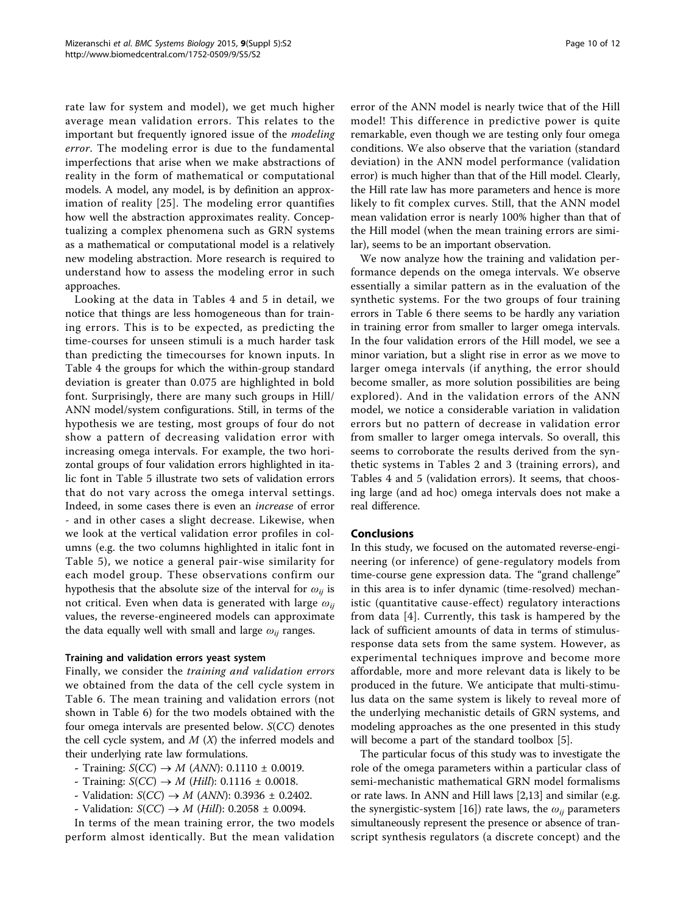rate law for system and model), we get much higher average mean validation errors. This relates to the important but frequently ignored issue of the *modeling* error. The modeling error is due to the fundamental imperfections that arise when we make abstractions of reality in the form of mathematical or computational models. A model, any model, is by definition an approximation of reality [[25\]](#page-11-0). The modeling error quantifies how well the abstraction approximates reality. Conceptualizing a complex phenomena such as GRN systems as a mathematical or computational model is a relatively new modeling abstraction. More research is required to understand how to assess the modeling error in such approaches.

Looking at the data in Tables [4](#page-7-0) and [5](#page-8-0) in detail, we notice that things are less homogeneous than for training errors. This is to be expected, as predicting the time-courses for unseen stimuli is a much harder task than predicting the timecourses for known inputs. In Table [4](#page-7-0) the groups for which the within-group standard deviation is greater than 0.075 are highlighted in bold font. Surprisingly, there are many such groups in Hill/ ANN model/system configurations. Still, in terms of the hypothesis we are testing, most groups of four do not show a pattern of decreasing validation error with increasing omega intervals. For example, the two horizontal groups of four validation errors highlighted in italic font in Table [5](#page-8-0) illustrate two sets of validation errors that do not vary across the omega interval settings. Indeed, in some cases there is even an increase of error - and in other cases a slight decrease. Likewise, when we look at the vertical validation error profiles in columns (e.g. the two columns highlighted in italic font in Table [5](#page-8-0)), we notice a general pair-wise similarity for each model group. These observations confirm our hypothesis that the absolute size of the interval for  $\omega_{ii}$  is not critical. Even when data is generated with large  $\omega_{ii}$ values, the reverse-engineered models can approximate the data equally well with small and large  $\omega_{ij}$  ranges.

#### Training and validation errors yeast system

Finally, we consider the training and validation errors we obtained from the data of the cell cycle system in Table [6](#page-8-0). The mean training and validation errors (not shown in Table [6\)](#page-8-0) for the two models obtained with the four omega intervals are presented below. S(CC) denotes the cell cycle system, and  $M(X)$  the inferred models and their underlying rate law formulations.

- Training:  $S(CC) \to M (ANN)$ : 0.1110 ± 0.0019.
- Training:  $S(CC) \to M$  (*Hill*): 0.1116  $\pm$  0.0018.
- Validation:  $S(CC) \rightarrow M$  (ANN): 0.3936 ± 0.2402.
- Validation:  $S(CC) \rightarrow M$  (*Hill*): 0.2058  $\pm$  0.0094.

In terms of the mean training error, the two models perform almost identically. But the mean validation error of the ANN model is nearly twice that of the Hill model! This difference in predictive power is quite remarkable, even though we are testing only four omega conditions. We also observe that the variation (standard deviation) in the ANN model performance (validation error) is much higher than that of the Hill model. Clearly, the Hill rate law has more parameters and hence is more likely to fit complex curves. Still, that the ANN model mean validation error is nearly 100% higher than that of the Hill model (when the mean training errors are similar), seems to be an important observation.

We now analyze how the training and validation performance depends on the omega intervals. We observe essentially a similar pattern as in the evaluation of the synthetic systems. For the two groups of four training errors in Table [6](#page-8-0) there seems to be hardly any variation in training error from smaller to larger omega intervals. In the four validation errors of the Hill model, we see a minor variation, but a slight rise in error as we move to larger omega intervals (if anything, the error should become smaller, as more solution possibilities are being explored). And in the validation errors of the ANN model, we notice a considerable variation in validation errors but no pattern of decrease in validation error from smaller to larger omega intervals. So overall, this seems to corroborate the results derived from the synthetic systems in Tables [2](#page-6-0) and [3](#page-7-0) (training errors), and Tables [4](#page-7-0) and [5](#page-8-0) (validation errors). It seems, that choosing large (and ad hoc) omega intervals does not make a real difference.

## Conclusions

In this study, we focused on the automated reverse-engineering (or inference) of gene-regulatory models from time-course gene expression data. The "grand challenge" in this area is to infer dynamic (time-resolved) mechanistic (quantitative cause-effect) regulatory interactions from data [[4](#page-10-0)]. Currently, this task is hampered by the lack of sufficient amounts of data in terms of stimulusresponse data sets from the same system. However, as experimental techniques improve and become more affordable, more and more relevant data is likely to be produced in the future. We anticipate that multi-stimulus data on the same system is likely to reveal more of the underlying mechanistic details of GRN systems, and modeling approaches as the one presented in this study will become a part of the standard toolbox [\[5](#page-10-0)].

The particular focus of this study was to investigate the role of the omega parameters within a particular class of semi-mechanistic mathematical GRN model formalisms or rate laws. In ANN and Hill laws [[2,13](#page-10-0)] and similar (e.g. the synergistic-system [[16\]](#page-10-0)) rate laws, the  $\omega_{ij}$  parameters simultaneously represent the presence or absence of transcript synthesis regulators (a discrete concept) and the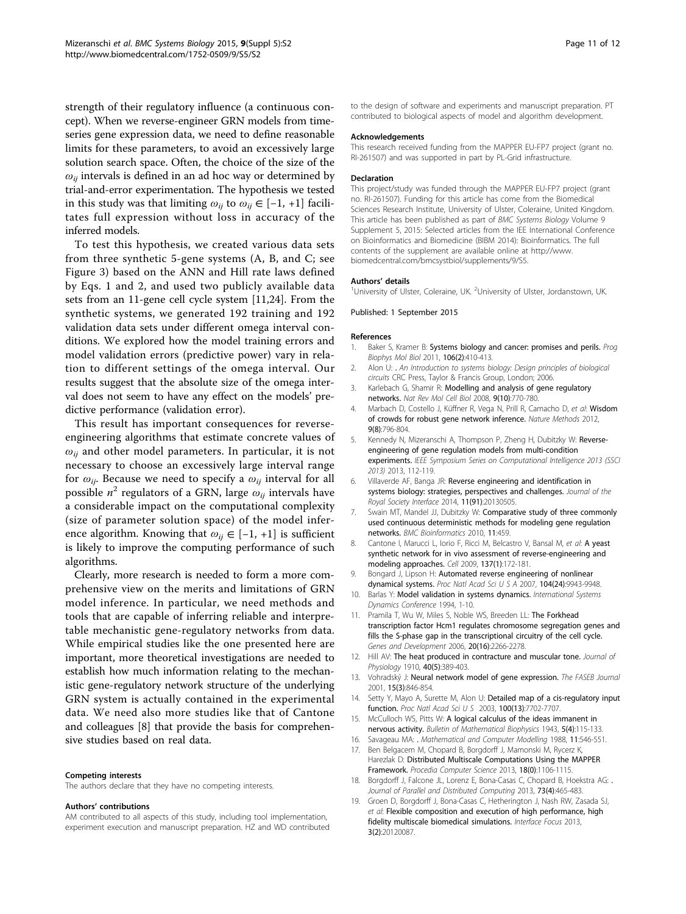<span id="page-10-0"></span>strength of their regulatory influence (a continuous concept). When we reverse-engineer GRN models from timeseries gene expression data, we need to define reasonable limits for these parameters, to avoid an excessively large solution search space. Often, the choice of the size of the  $\omega_{ii}$  intervals is defined in an ad hoc way or determined by trial-and-error experimentation. The hypothesis we tested in this study was that limiting  $\omega_{ii}$  to  $\omega_{ii} \in [-1, +1]$  facilitates full expression without loss in accuracy of the inferred models.

To test this hypothesis, we created various data sets from three synthetic 5-gene systems (A, B, and C; see Figure [3\)](#page-5-0) based on the ANN and Hill rate laws defined by Eqs. 1 and 2, and used two publicly available data sets from an 11-gene cell cycle system [11,[24\]](#page-11-0). From the synthetic systems, we generated 192 training and 192 validation data sets under different omega interval conditions. We explored how the model training errors and model validation errors (predictive power) vary in relation to different settings of the omega interval. Our results suggest that the absolute size of the omega interval does not seem to have any effect on the models' predictive performance (validation error).

This result has important consequences for reverseengineering algorithms that estimate concrete values of  $\omega_{ij}$  and other model parameters. In particular, it is not necessary to choose an excessively large interval range for  $\omega_{ij}$ . Because we need to specify a  $\omega_{ij}$  interval for all possible  $n^2$  regulators of a GRN, large  $\omega_{ij}$  intervals have a considerable impact on the computational complexity (size of parameter solution space) of the model inference algorithm. Knowing that  $\omega_{ii} \in [-1, +1]$  is sufficient is likely to improve the computing performance of such algorithms.

Clearly, more research is needed to form a more comprehensive view on the merits and limitations of GRN model inference. In particular, we need methods and tools that are capable of inferring reliable and interpretable mechanistic gene-regulatory networks from data. While empirical studies like the one presented here are important, more theoretical investigations are needed to establish how much information relating to the mechanistic gene-regulatory network structure of the underlying GRN system is actually contained in the experimental data. We need also more studies like that of Cantone and colleagues [8] that provide the basis for comprehensive studies based on real data.

#### Competing interests

The authors declare that they have no competing interests.

#### Authors' contributions

AM contributed to all aspects of this study, including tool implementation, experiment execution and manuscript preparation. HZ and WD contributed to the design of software and experiments and manuscript preparation. PT contributed to biological aspects of model and algorithm development.

#### Acknowledgements

This research received funding from the MAPPER EU-FP7 project (grant no. RI-261507) and was supported in part by PL-Grid infrastructure.

#### Declaration

This project/study was funded through the MAPPER EU-FP7 project (grant no. RI-261507). Funding for this article has come from the Biomedical Sciences Research Institute, University of Ulster, Coleraine, United Kingdom. This article has been published as part of BMC Systems Biology Volume 9 Supplement 5, 2015: Selected articles from the IEE International Conference on Bioinformatics and Biomedicine (BIBM 2014): Bioinformatics. The full contents of the supplement are available online at [http://www.](http://www.biomedcentral.com/bmcsystbiol/supplements/9/S5) [biomedcentral.com/bmcsystbiol/supplements/9/S5.](http://www.biomedcentral.com/bmcsystbiol/supplements/9/S5)

#### Authors' details <sup>1</sup>

University of Ulster, Coleraine, UK. <sup>2</sup>University of Ulster, Jordanstown, UK

Published: 1 September 2015

#### References

- Baker S, Kramer B: [Systems biology and cancer: promises and perils.](http://www.ncbi.nlm.nih.gov/pubmed/21419159?dopt=Abstract) Prog Biophys Mol Biol 2011, 106(2):410-413.
- 2. Alon U: . An Introduction to systems biology: Design principles of biological circuits CRC Press, Taylor & Francis Group, London; 2006.
- 3. Karlebach G, Shamir R: [Modelling and analysis of gene regulatory](http://www.ncbi.nlm.nih.gov/pubmed/18797474?dopt=Abstract) [networks.](http://www.ncbi.nlm.nih.gov/pubmed/18797474?dopt=Abstract) Nat Rev Mol Cell Biol 2008, 9(10):770-780.
- 4. Marbach D, Costello J, Küffner R, Vega N, Prill R, Camacho D, et al: [Wisdom](http://www.ncbi.nlm.nih.gov/pubmed/22796662?dopt=Abstract) [of crowds for robust gene network inference.](http://www.ncbi.nlm.nih.gov/pubmed/22796662?dopt=Abstract) Nature Methods 2012, 9(8):796-804.
- 5. Kennedy N, Mizeranschi A, Thompson P, Zheng H, Dubitzky W: Reverseengineering of gene regulation models from multi-condition experiments. IEEE Symposium Series on Computational Intelligence 2013 (SSCI 2013) 2013, 112-119.
- Villaverde AF, Banga JR: Reverse engineering and identification in systems biology: strategies, perspectives and challenges. Journal of the Royal Society Interface 2014, 11(91):20130505.
- 7. Swain MT, Mandel JJ, Dubitzky W: [Comparative study of three commonly](http://www.ncbi.nlm.nih.gov/pubmed/20840745?dopt=Abstract) [used continuous deterministic methods for modeling gene regulation](http://www.ncbi.nlm.nih.gov/pubmed/20840745?dopt=Abstract) [networks.](http://www.ncbi.nlm.nih.gov/pubmed/20840745?dopt=Abstract) BMC Bioinformatics 2010, 11:459.
- 8. Cantone I, Marucci L, Iorio F, Ricci M, Belcastro V, Bansal M, et al: [A yeast](http://www.ncbi.nlm.nih.gov/pubmed/19327819?dopt=Abstract) [synthetic network for in vivo assessment of reverse-engineering and](http://www.ncbi.nlm.nih.gov/pubmed/19327819?dopt=Abstract) [modeling approaches.](http://www.ncbi.nlm.nih.gov/pubmed/19327819?dopt=Abstract) Cell 2009, 137(1):172-181.
- 9. Bongard J, Lipson H: [Automated reverse engineering of nonlinear](http://www.ncbi.nlm.nih.gov/pubmed/17553966?dopt=Abstract) [dynamical systems.](http://www.ncbi.nlm.nih.gov/pubmed/17553966?dopt=Abstract) Proc Natl Acad Sci U S A 2007, 104(24):9943-9948.
- 10. Barlas Y: Model validation in systems dynamics. International Systems Dynamics Conference 1994, 1-10.
- 11. Pramila T, Wu W, Miles S, Noble WS, Breeden LL: [The Forkhead](http://www.ncbi.nlm.nih.gov/pubmed/16912276?dopt=Abstract) [transcription factor Hcm1 regulates chromosome segregation genes and](http://www.ncbi.nlm.nih.gov/pubmed/16912276?dopt=Abstract) [fills the S-phase gap in the transcriptional circuitry of the cell cycle.](http://www.ncbi.nlm.nih.gov/pubmed/16912276?dopt=Abstract) Genes and Development 2006, 20(16):2266-2278.
- 12. Hill AV: [The heat produced in contracture and muscular tone.](http://www.ncbi.nlm.nih.gov/pubmed/16993015?dopt=Abstract) Journal of Physiology 1910, 40(5):389-403.
- 13. Vohradský J: [Neural network model of gene expression.](http://www.ncbi.nlm.nih.gov/pubmed/11259403?dopt=Abstract) The FASEB Journal 2001, 15(3):846-854.
- 14. Setty Y, Mayo A, Surette M, Alon U: [Detailed map of a cis-regulatory input](http://www.ncbi.nlm.nih.gov/pubmed/12805558?dopt=Abstract) [function.](http://www.ncbi.nlm.nih.gov/pubmed/12805558?dopt=Abstract) Proc Natl Acad Sci U S 2003, 100(13):7702-7707.
- 15. McCulloch WS, Pitts W: A logical calculus of the ideas immanent in nervous activity. Bulletin of Mathematical Biophysics 1943, 5(4):115-133.
- 16. Savageau MA: . Mathematical and Computer Modelling 1988, 11:546-551. 17. Ben Belgacem M, Chopard B, Borgdorff J, Mamonski M, Rycerz K,
- Harezlak D: Distributed Multiscale Computations Using the MAPPER Framework. Procedia Computer Science 2013, 18(0):1106-1115.
- 18. Borgdorff J, Falcone JL, Lorenz E, Bona-Casas C, Chopard B, Hoekstra AG: . Journal of Parallel and Distributed Computing 2013, 73(4):465-483.
- 19. Groen D, Borgdorff J, Bona-Casas C, Hetherington J, Nash RW, Zasada SJ, et al: [Flexible composition and execution of high performance, high](http://www.ncbi.nlm.nih.gov/pubmed/24427530?dopt=Abstract) [fidelity multiscale biomedical simulations.](http://www.ncbi.nlm.nih.gov/pubmed/24427530?dopt=Abstract) Interface Focus 2013, 3(2):20120087.